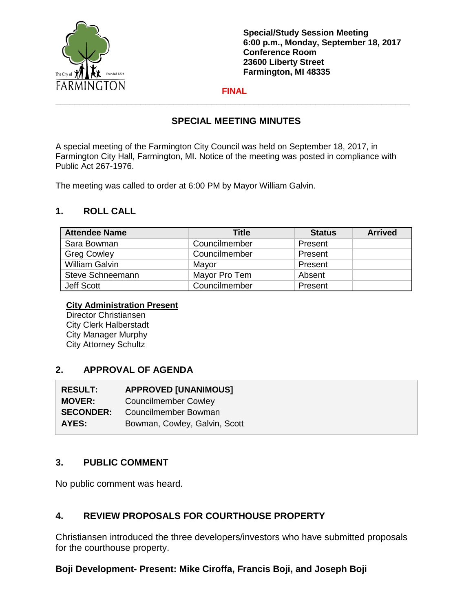

**Special/Study Session Meeting 6:00 p.m., Monday, September 18, 2017 Conference Room 23600 Liberty Street Farmington, MI 48335**

#### **FINAL \_\_\_\_\_\_\_\_\_\_\_\_\_\_\_\_\_\_\_\_\_\_\_\_\_\_\_\_\_\_\_\_\_\_\_\_\_\_\_\_\_\_\_\_\_\_\_\_\_\_\_\_\_\_\_\_\_\_\_\_\_\_\_\_\_\_\_\_\_\_\_\_\_\_\_**

# **SPECIAL MEETING MINUTES**

A special meeting of the Farmington City Council was held on September 18, 2017, in Farmington City Hall, Farmington, MI. Notice of the meeting was posted in compliance with Public Act 267-1976.

The meeting was called to order at 6:00 PM by Mayor William Galvin.

#### **1. ROLL CALL**

| <b>Attendee Name</b>  | <b>Title</b>  | <b>Status</b> | <b>Arrived</b> |
|-----------------------|---------------|---------------|----------------|
| Sara Bowman           | Councilmember | Present       |                |
| <b>Greg Cowley</b>    | Councilmember | Present       |                |
| <b>William Galvin</b> | Mayor         | Present       |                |
| Steve Schneemann      | Mayor Pro Tem | Absent        |                |
| Jeff Scott            | Councilmember | Present       |                |

#### **City Administration Present**

Director Christiansen City Clerk Halberstadt City Manager Murphy City Attorney Schultz

# **2. APPROVAL OF AGENDA**

| <b>RESULT:</b>   | <b>APPROVED [UNANIMOUS]</b>   |  |
|------------------|-------------------------------|--|
| <b>MOVER:</b>    | <b>Councilmember Cowley</b>   |  |
| <b>SECONDER:</b> | Councilmember Bowman          |  |
| AYES:            | Bowman, Cowley, Galvin, Scott |  |

# **3. PUBLIC COMMENT**

No public comment was heard.

# **4. REVIEW PROPOSALS FOR COURTHOUSE PROPERTY**

Christiansen introduced the three developers/investors who have submitted proposals for the courthouse property.

# **Boji Development- Present: Mike Ciroffa, Francis Boji, and Joseph Boji**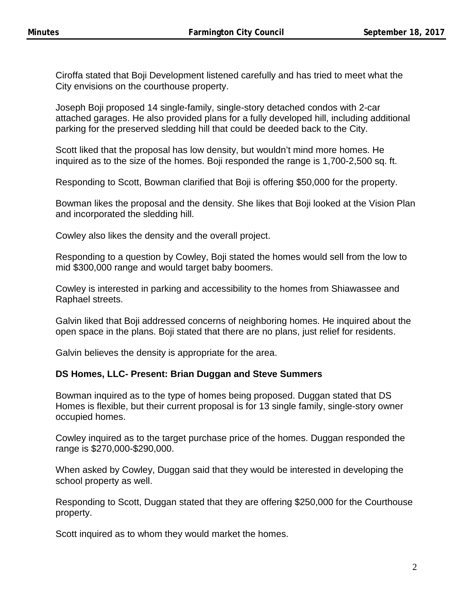Ciroffa stated that Boji Development listened carefully and has tried to meet what the City envisions on the courthouse property.

Joseph Boji proposed 14 single-family, single-story detached condos with 2-car attached garages. He also provided plans for a fully developed hill, including additional parking for the preserved sledding hill that could be deeded back to the City.

Scott liked that the proposal has low density, but wouldn't mind more homes. He inquired as to the size of the homes. Boji responded the range is 1,700-2,500 sq. ft.

Responding to Scott, Bowman clarified that Boji is offering \$50,000 for the property.

Bowman likes the proposal and the density. She likes that Boji looked at the Vision Plan and incorporated the sledding hill.

Cowley also likes the density and the overall project.

Responding to a question by Cowley, Boji stated the homes would sell from the low to mid \$300,000 range and would target baby boomers.

Cowley is interested in parking and accessibility to the homes from Shiawassee and Raphael streets.

Galvin liked that Boji addressed concerns of neighboring homes. He inquired about the open space in the plans. Boji stated that there are no plans, just relief for residents.

Galvin believes the density is appropriate for the area.

# **DS Homes, LLC- Present: Brian Duggan and Steve Summers**

Bowman inquired as to the type of homes being proposed. Duggan stated that DS Homes is flexible, but their current proposal is for 13 single family, single-story owner occupied homes.

Cowley inquired as to the target purchase price of the homes. Duggan responded the range is \$270,000-\$290,000.

When asked by Cowley, Duggan said that they would be interested in developing the school property as well.

Responding to Scott, Duggan stated that they are offering \$250,000 for the Courthouse property.

Scott inquired as to whom they would market the homes.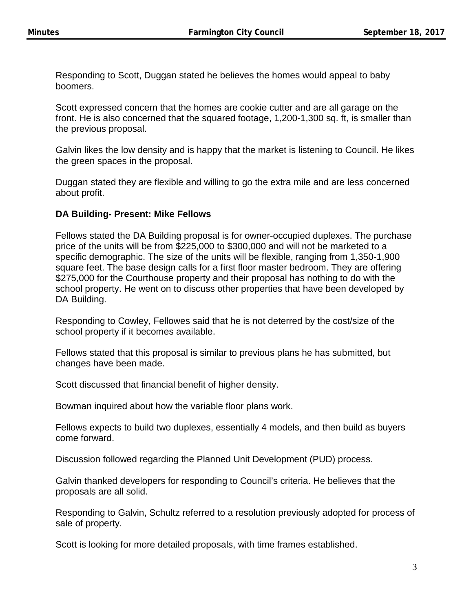Responding to Scott, Duggan stated he believes the homes would appeal to baby boomers.

Scott expressed concern that the homes are cookie cutter and are all garage on the front. He is also concerned that the squared footage, 1,200-1,300 sq. ft, is smaller than the previous proposal.

Galvin likes the low density and is happy that the market is listening to Council. He likes the green spaces in the proposal.

Duggan stated they are flexible and willing to go the extra mile and are less concerned about profit.

#### **DA Building- Present: Mike Fellows**

Fellows stated the DA Building proposal is for owner-occupied duplexes. The purchase price of the units will be from \$225,000 to \$300,000 and will not be marketed to a specific demographic. The size of the units will be flexible, ranging from 1,350-1,900 square feet. The base design calls for a first floor master bedroom. They are offering \$275,000 for the Courthouse property and their proposal has nothing to do with the school property. He went on to discuss other properties that have been developed by DA Building.

Responding to Cowley, Fellowes said that he is not deterred by the cost/size of the school property if it becomes available.

Fellows stated that this proposal is similar to previous plans he has submitted, but changes have been made.

Scott discussed that financial benefit of higher density.

Bowman inquired about how the variable floor plans work.

Fellows expects to build two duplexes, essentially 4 models, and then build as buyers come forward.

Discussion followed regarding the Planned Unit Development (PUD) process.

Galvin thanked developers for responding to Council's criteria. He believes that the proposals are all solid.

Responding to Galvin, Schultz referred to a resolution previously adopted for process of sale of property.

Scott is looking for more detailed proposals, with time frames established.